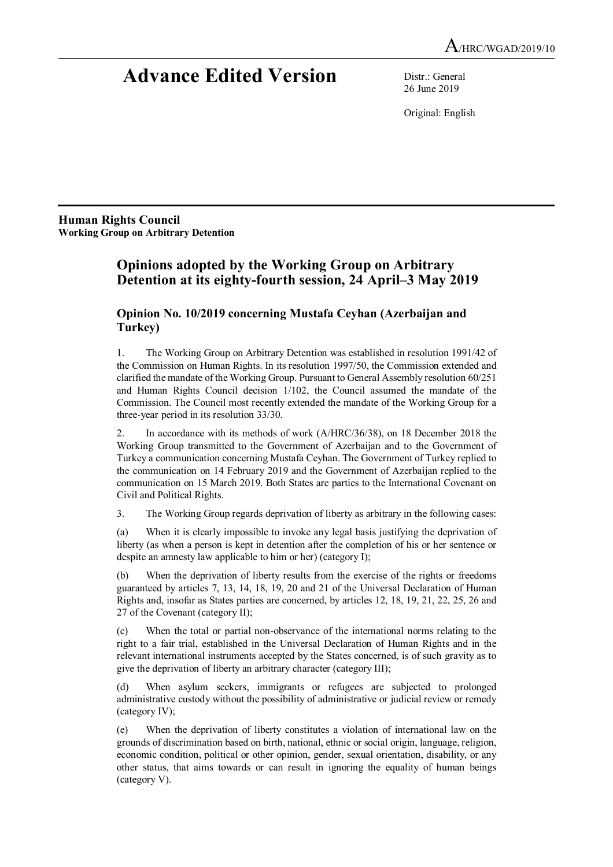# **Advance Edited Version** Distr.: General

26 June 2019

Original: English

**Human Rights Council Working Group on Arbitrary Detention** 

# **Opinions adopted by the Working Group on Arbitrary Detention at its eighty-fourth session, 24 April–3 May 2019**

# **Opinion No. 10/2019 concerning Mustafa Ceyhan (Azerbaijan and Turkey)**

1. The Working Group on Arbitrary Detention was established in resolution 1991/42 of the Commission on Human Rights. In its resolution 1997/50, the Commission extended and clarified the mandate of the Working Group. Pursuant to General Assembly resolution 60/251 and Human Rights Council decision 1/102, the Council assumed the mandate of the Commission. The Council most recently extended the mandate of the Working Group for a three-year period in its resolution 33/30.

2. In accordance with its methods of work (A/HRC/36/38), on 18 December 2018 the Working Group transmitted to the Government of Azerbaijan and to the Government of Turkey a communication concerning Mustafa Ceyhan. The Government of Turkey replied to the communication on 14 February 2019 and the Government of Azerbaijan replied to the communication on 15 March 2019. Both States are parties to the International Covenant on Civil and Political Rights.

3. The Working Group regards deprivation of liberty as arbitrary in the following cases:

(a) When it is clearly impossible to invoke any legal basis justifying the deprivation of liberty (as when a person is kept in detention after the completion of his or her sentence or despite an amnesty law applicable to him or her) (category I);

(b) When the deprivation of liberty results from the exercise of the rights or freedoms guaranteed by articles 7, 13, 14, 18, 19, 20 and 21 of the Universal Declaration of Human Rights and, insofar as States parties are concerned, by articles 12, 18, 19, 21, 22, 25, 26 and 27 of the Covenant (category II);

(c) When the total or partial non-observance of the international norms relating to the right to a fair trial, established in the Universal Declaration of Human Rights and in the relevant international instruments accepted by the States concerned, is of such gravity as to give the deprivation of liberty an arbitrary character (category III);

(d) When asylum seekers, immigrants or refugees are subjected to prolonged administrative custody without the possibility of administrative or judicial review or remedy (category IV);

(e) When the deprivation of liberty constitutes a violation of international law on the grounds of discrimination based on birth, national, ethnic or social origin, language, religion, economic condition, political or other opinion, gender, sexual orientation, disability, or any other status, that aims towards or can result in ignoring the equality of human beings (category V).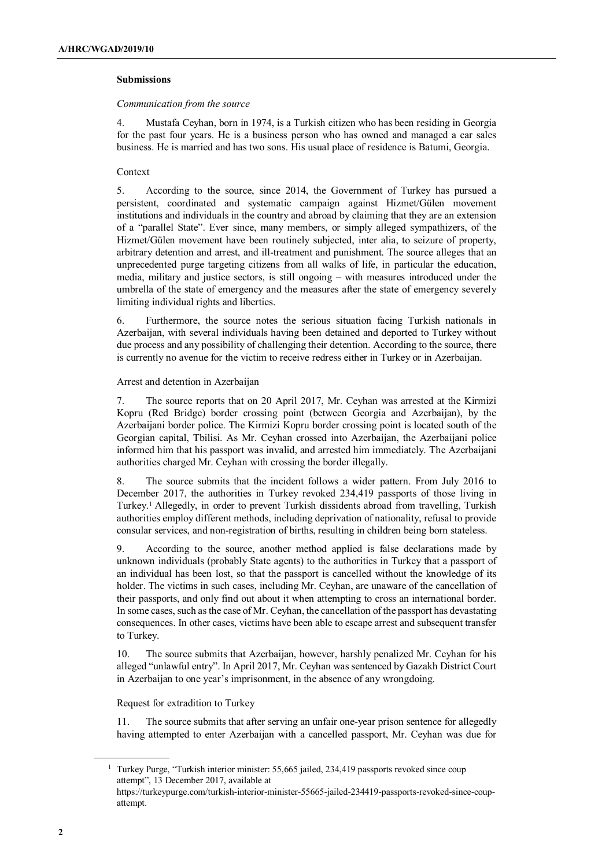# **Submissions**

#### *Communication from the source*

4. Mustafa Ceyhan, born in 1974, is a Turkish citizen who has been residing in Georgia for the past four years. He is a business person who has owned and managed a car sales business. He is married and has two sons. His usual place of residence is Batumi, Georgia.

# Context

5. According to the source, since 2014, the Government of Turkey has pursued a persistent, coordinated and systematic campaign against Hizmet/Gülen movement institutions and individuals in the country and abroad by claiming that they are an extension of a "parallel State". Ever since, many members, or simply alleged sympathizers, of the Hizmet/Gülen movement have been routinely subjected, inter alia, to seizure of property, arbitrary detention and arrest, and ill-treatment and punishment. The source alleges that an unprecedented purge targeting citizens from all walks of life, in particular the education, media, military and justice sectors, is still ongoing – with measures introduced under the umbrella of the state of emergency and the measures after the state of emergency severely limiting individual rights and liberties.

6. Furthermore, the source notes the serious situation facing Turkish nationals in Azerbaijan, with several individuals having been detained and deported to Turkey without due process and any possibility of challenging their detention. According to the source, there is currently no avenue for the victim to receive redress either in Turkey or in Azerbaijan.

# Arrest and detention in Azerbaijan

7. The source reports that on 20 April 2017, Mr. Ceyhan was arrested at the Kirmizi Kopru (Red Bridge) border crossing point (between Georgia and Azerbaijan), by the Azerbaijani border police. The Kirmizi Kopru border crossing point is located south of the Georgian capital, Tbilisi. As Mr. Ceyhan crossed into Azerbaijan, the Azerbaijani police informed him that his passport was invalid, and arrested him immediately. The Azerbaijani authorities charged Mr. Ceyhan with crossing the border illegally.

8. The source submits that the incident follows a wider pattern. From July 2016 to December 2017, the authorities in Turkey revoked 234,419 passports of those living in Turkey.<sup>1</sup> Allegedly, in order to prevent Turkish dissidents abroad from travelling, Turkish authorities employ different methods, including deprivation of nationality, refusal to provide consular services, and non-registration of births, resulting in children being born stateless.

9. According to the source, another method applied is false declarations made by unknown individuals (probably State agents) to the authorities in Turkey that a passport of an individual has been lost, so that the passport is cancelled without the knowledge of its holder. The victims in such cases, including Mr. Ceyhan, are unaware of the cancellation of their passports, and only find out about it when attempting to cross an international border. In some cases, such as the case of Mr. Ceyhan, the cancellation of the passport has devastating consequences. In other cases, victims have been able to escape arrest and subsequent transfer to Turkey.

10. The source submits that Azerbaijan, however, harshly penalized Mr. Ceyhan for his alleged "unlawful entry". In April 2017, Mr. Ceyhan was sentenced by Gazakh District Court in Azerbaijan to one year's imprisonment, in the absence of any wrongdoing.

# Request for extradition to Turkey

11. The source submits that after serving an unfair one-year prison sentence for allegedly having attempted to enter Azerbaijan with a cancelled passport, Mr. Ceyhan was due for

<sup>&</sup>lt;sup>1</sup> Turkey Purge, "Turkish interior minister: 55,665 jailed, 234,419 passports revoked since coup attempt", 13 December 2017, available at

https://turkeypurge.com/turkish-interior-minister-55665-jailed-234419-passports-revoked-since-coupattempt.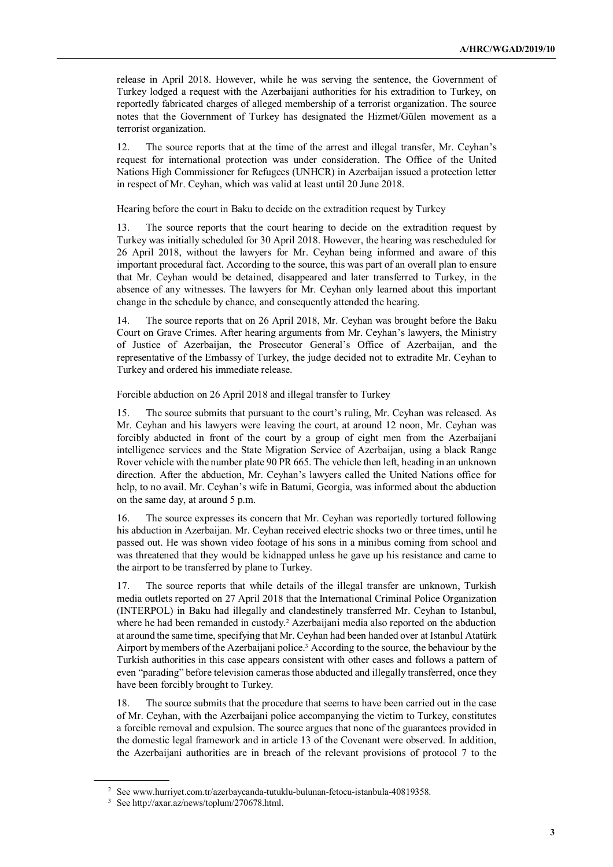release in April 2018. However, while he was serving the sentence, the Government of Turkey lodged a request with the Azerbaijani authorities for his extradition to Turkey, on reportedly fabricated charges of alleged membership of a terrorist organization. The source notes that the Government of Turkey has designated the Hizmet/Gülen movement as a terrorist organization.

12. The source reports that at the time of the arrest and illegal transfer, Mr. Ceyhan's request for international protection was under consideration. The Office of the United Nations High Commissioner for Refugees (UNHCR) in Azerbaijan issued a protection letter in respect of Mr. Ceyhan, which was valid at least until 20 June 2018.

Hearing before the court in Baku to decide on the extradition request by Turkey

13. The source reports that the court hearing to decide on the extradition request by Turkey was initially scheduled for 30 April 2018. However, the hearing was rescheduled for 26 April 2018, without the lawyers for Mr. Ceyhan being informed and aware of this important procedural fact. According to the source, this was part of an overall plan to ensure that Mr. Ceyhan would be detained, disappeared and later transferred to Turkey, in the absence of any witnesses. The lawyers for Mr. Ceyhan only learned about this important change in the schedule by chance, and consequently attended the hearing.

14. The source reports that on 26 April 2018, Mr. Ceyhan was brought before the Baku Court on Grave Crimes. After hearing arguments from Mr. Ceyhan's lawyers, the Ministry of Justice of Azerbaijan, the Prosecutor General's Office of Azerbaijan, and the representative of the Embassy of Turkey, the judge decided not to extradite Mr. Ceyhan to Turkey and ordered his immediate release.

Forcible abduction on 26 April 2018 and illegal transfer to Turkey

15. The source submits that pursuant to the court's ruling, Mr. Ceyhan was released. As Mr. Ceyhan and his lawyers were leaving the court, at around 12 noon, Mr. Ceyhan was forcibly abducted in front of the court by a group of eight men from the Azerbaijani intelligence services and the State Migration Service of Azerbaijan, using a black Range Rover vehicle with the number plate 90 PR 665. The vehicle then left, heading in an unknown direction. After the abduction, Mr. Ceyhan's lawyers called the United Nations office for help, to no avail. Mr. Ceyhan's wife in Batumi, Georgia, was informed about the abduction on the same day, at around 5 p.m.

16. The source expresses its concern that Mr. Ceyhan was reportedly tortured following his abduction in Azerbaijan. Mr. Ceyhan received electric shocks two or three times, until he passed out. He was shown video footage of his sons in a minibus coming from school and was threatened that they would be kidnapped unless he gave up his resistance and came to the airport to be transferred by plane to Turkey.

17. The source reports that while details of the illegal transfer are unknown, Turkish media outlets reported on 27 April 2018 that the International Criminal Police Organization (INTERPOL) in Baku had illegally and clandestinely transferred Mr. Ceyhan to Istanbul, where he had been remanded in custody.<sup>2</sup> Azerbaijani media also reported on the abduction at around the same time, specifying that Mr. Ceyhan had been handed over at Istanbul Atatürk Airport by members of the Azerbaijani police.<sup>3</sup> According to the source, the behaviour by the Turkish authorities in this case appears consistent with other cases and follows a pattern of even "parading" before television cameras those abducted and illegally transferred, once they have been forcibly brought to Turkey.

18. The source submits that the procedure that seems to have been carried out in the case of Mr. Ceyhan, with the Azerbaijani police accompanying the victim to Turkey, constitutes a forcible removal and expulsion. The source argues that none of the guarantees provided in the domestic legal framework and in article 13 of the Covenant were observed. In addition, the Azerbaijani authorities are in breach of the relevant provisions of protocol 7 to the

<sup>2</sup> See www.hurriyet.com.tr/azerbaycanda-tutuklu-bulunan-fetocu-istanbula-40819358.

<sup>3</sup> See http://axar.az/news/toplum/270678.html.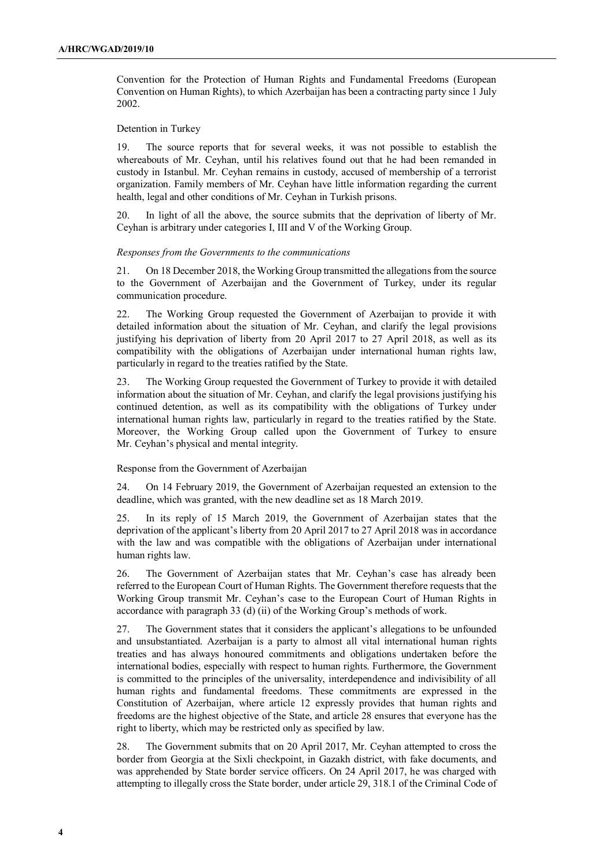Convention for the Protection of Human Rights and Fundamental Freedoms (European Convention on Human Rights), to which Azerbaijan has been a contracting party since 1 July 2002.

# Detention in Turkey

19. The source reports that for several weeks, it was not possible to establish the whereabouts of Mr. Ceyhan, until his relatives found out that he had been remanded in custody in Istanbul. Mr. Ceyhan remains in custody, accused of membership of a terrorist organization. Family members of Mr. Ceyhan have little information regarding the current health, legal and other conditions of Mr. Ceyhan in Turkish prisons.

20. In light of all the above, the source submits that the deprivation of liberty of Mr. Ceyhan is arbitrary under categories I, III and V of the Working Group.

#### *Responses from the Governments to the communications*

21. On 18 December 2018, the Working Group transmitted the allegations from the source to the Government of Azerbaijan and the Government of Turkey, under its regular communication procedure.

22. The Working Group requested the Government of Azerbaijan to provide it with detailed information about the situation of Mr. Ceyhan, and clarify the legal provisions justifying his deprivation of liberty from 20 April 2017 to 27 April 2018, as well as its compatibility with the obligations of Azerbaijan under international human rights law, particularly in regard to the treaties ratified by the State.

23. The Working Group requested the Government of Turkey to provide it with detailed information about the situation of Mr. Ceyhan, and clarify the legal provisions justifying his continued detention, as well as its compatibility with the obligations of Turkey under international human rights law, particularly in regard to the treaties ratified by the State. Moreover, the Working Group called upon the Government of Turkey to ensure Mr. Ceyhan's physical and mental integrity.

#### Response from the Government of Azerbaijan

24. On 14 February 2019, the Government of Azerbaijan requested an extension to the deadline, which was granted, with the new deadline set as 18 March 2019.

25. In its reply of 15 March 2019, the Government of Azerbaijan states that the deprivation of the applicant's liberty from 20 April 2017 to 27 April 2018 was in accordance with the law and was compatible with the obligations of Azerbaijan under international human rights law.

26. The Government of Azerbaijan states that Mr. Ceyhan's case has already been referred to the European Court of Human Rights. The Government therefore requests that the Working Group transmit Mr. Ceyhan's case to the European Court of Human Rights in accordance with paragraph 33 (d) (ii) of the Working Group's methods of work.

27. The Government states that it considers the applicant's allegations to be unfounded and unsubstantiated. Azerbaijan is a party to almost all vital international human rights treaties and has always honoured commitments and obligations undertaken before the international bodies, especially with respect to human rights. Furthermore, the Government is committed to the principles of the universality, interdependence and indivisibility of all human rights and fundamental freedoms. These commitments are expressed in the Constitution of Azerbaijan, where article 12 expressly provides that human rights and freedoms are the highest objective of the State, and article 28 ensures that everyone has the right to liberty, which may be restricted only as specified by law.

28. The Government submits that on 20 April 2017, Mr. Ceyhan attempted to cross the border from Georgia at the Sixli checkpoint, in Gazakh district, with fake documents, and was apprehended by State border service officers. On 24 April 2017, he was charged with attempting to illegally cross the State border, under article 29, 318.1 of the Criminal Code of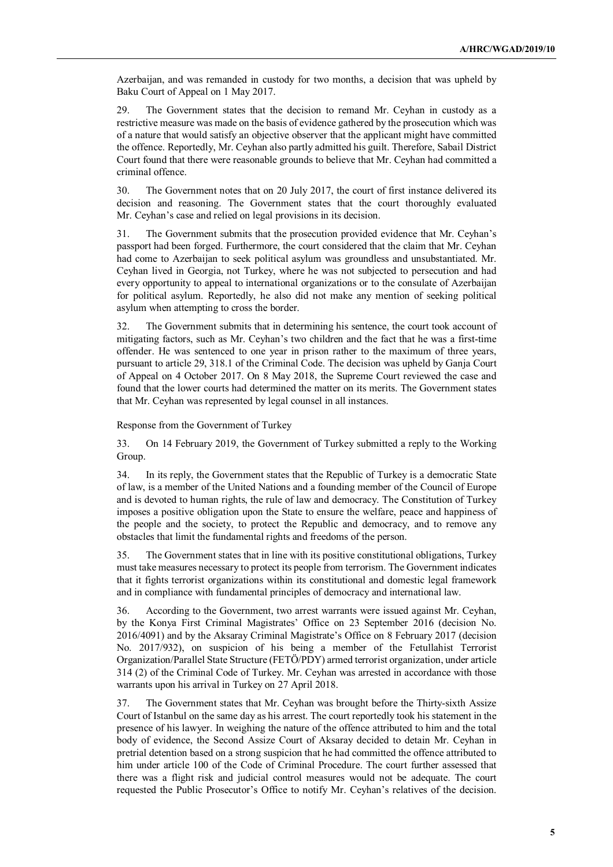Azerbaijan, and was remanded in custody for two months, a decision that was upheld by Baku Court of Appeal on 1 May 2017.

29. The Government states that the decision to remand Mr. Ceyhan in custody as a restrictive measure was made on the basis of evidence gathered by the prosecution which was of a nature that would satisfy an objective observer that the applicant might have committed the offence. Reportedly, Mr. Ceyhan also partly admitted his guilt. Therefore, Sabail District Court found that there were reasonable grounds to believe that Mr. Ceyhan had committed a criminal offence.

30. The Government notes that on 20 July 2017, the court of first instance delivered its decision and reasoning. The Government states that the court thoroughly evaluated Mr. Ceyhan's case and relied on legal provisions in its decision.

31. The Government submits that the prosecution provided evidence that Mr. Ceyhan's passport had been forged. Furthermore, the court considered that the claim that Mr. Ceyhan had come to Azerbaijan to seek political asylum was groundless and unsubstantiated. Mr. Ceyhan lived in Georgia, not Turkey, where he was not subjected to persecution and had every opportunity to appeal to international organizations or to the consulate of Azerbaijan for political asylum. Reportedly, he also did not make any mention of seeking political asylum when attempting to cross the border.

32. The Government submits that in determining his sentence, the court took account of mitigating factors, such as Mr. Ceyhan's two children and the fact that he was a first-time offender. He was sentenced to one year in prison rather to the maximum of three years, pursuant to article 29, 318.1 of the Criminal Code. The decision was upheld by Ganja Court of Appeal on 4 October 2017. On 8 May 2018, the Supreme Court reviewed the case and found that the lower courts had determined the matter on its merits. The Government states that Mr. Ceyhan was represented by legal counsel in all instances.

Response from the Government of Turkey

33. On 14 February 2019, the Government of Turkey submitted a reply to the Working Group.

34. In its reply, the Government states that the Republic of Turkey is a democratic State of law, is a member of the United Nations and a founding member of the Council of Europe and is devoted to human rights, the rule of law and democracy. The Constitution of Turkey imposes a positive obligation upon the State to ensure the welfare, peace and happiness of the people and the society, to protect the Republic and democracy, and to remove any obstacles that limit the fundamental rights and freedoms of the person.

35. The Government states that in line with its positive constitutional obligations, Turkey must take measures necessary to protect its people from terrorism. The Government indicates that it fights terrorist organizations within its constitutional and domestic legal framework and in compliance with fundamental principles of democracy and international law.

36. According to the Government, two arrest warrants were issued against Mr. Ceyhan, by the Konya First Criminal Magistrates' Office on 23 September 2016 (decision No. 2016/4091) and by the Aksaray Criminal Magistrate's Office on 8 February 2017 (decision No. 2017/932), on suspicion of his being a member of the Fetullahist Terrorist Organization/Parallel State Structure (FETÖ/PDY) armed terrorist organization, under article 314 (2) of the Criminal Code of Turkey. Mr. Ceyhan was arrested in accordance with those warrants upon his arrival in Turkey on 27 April 2018.

37. The Government states that Mr. Ceyhan was brought before the Thirty-sixth Assize Court of Istanbul on the same day as his arrest. The court reportedly took his statement in the presence of his lawyer. In weighing the nature of the offence attributed to him and the total body of evidence, the Second Assize Court of Aksaray decided to detain Mr. Ceyhan in pretrial detention based on a strong suspicion that he had committed the offence attributed to him under article 100 of the Code of Criminal Procedure. The court further assessed that there was a flight risk and judicial control measures would not be adequate. The court requested the Public Prosecutor's Office to notify Mr. Ceyhan's relatives of the decision.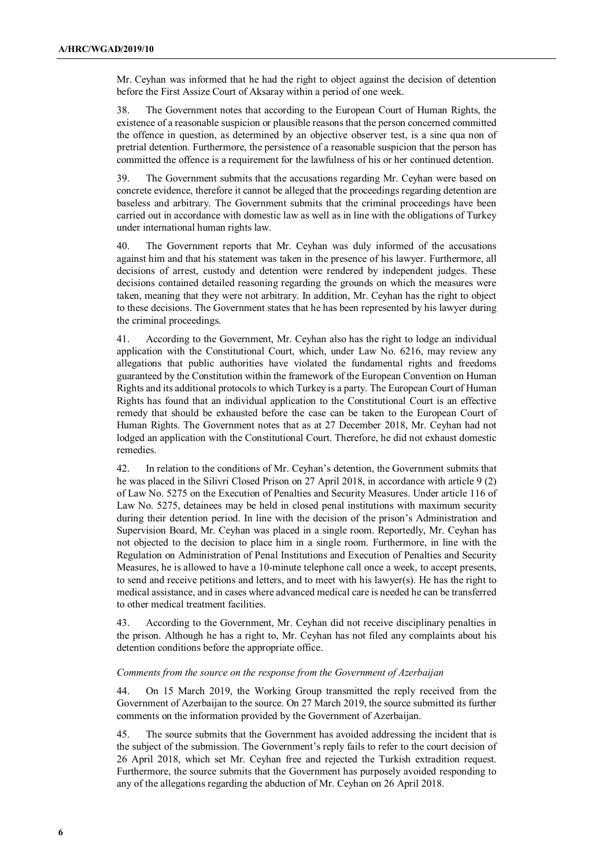Mr. Ceyhan was informed that he had the right to object against the decision of detention before the First Assize Court of Aksaray within a period of one week.

38. The Government notes that according to the European Court of Human Rights, the existence of a reasonable suspicion or plausible reasons that the person concerned committed the offence in question, as determined by an objective observer test, is a sine qua non of pretrial detention. Furthermore, the persistence of a reasonable suspicion that the person has committed the offence is a requirement for the lawfulness of his or her continued detention.

39. The Government submits that the accusations regarding Mr. Ceyhan were based on concrete evidence, therefore it cannot be alleged that the proceedings regarding detention are baseless and arbitrary. The Government submits that the criminal proceedings have been carried out in accordance with domestic law as well as in line with the obligations of Turkey under international human rights law.

40. The Government reports that Mr. Ceyhan was duly informed of the accusations against him and that his statement was taken in the presence of his lawyer. Furthermore, all decisions of arrest, custody and detention were rendered by independent judges. These decisions contained detailed reasoning regarding the grounds on which the measures were taken, meaning that they were not arbitrary. In addition, Mr. Ceyhan has the right to object to these decisions. The Government states that he has been represented by his lawyer during the criminal proceedings.

41. According to the Government, Mr. Ceyhan also has the right to lodge an individual application with the Constitutional Court, which, under Law No. 6216, may review any allegations that public authorities have violated the fundamental rights and freedoms guaranteed by the Constitution within the framework of the European Convention on Human Rights and its additional protocols to which Turkey is a party. The European Court of Human Rights has found that an individual application to the Constitutional Court is an effective remedy that should be exhausted before the case can be taken to the European Court of Human Rights. The Government notes that as at 27 December 2018, Mr. Ceyhan had not lodged an application with the Constitutional Court. Therefore, he did not exhaust domestic remedies.

42. In relation to the conditions of Mr. Ceyhan's detention, the Government submits that he was placed in the Silivri Closed Prison on 27 April 2018, in accordance with article 9 (2) of Law No. 5275 on the Execution of Penalties and Security Measures. Under article 116 of Law No. 5275, detainees may be held in closed penal institutions with maximum security during their detention period. In line with the decision of the prison's Administration and Supervision Board, Mr. Ceyhan was placed in a single room. Reportedly, Mr. Ceyhan has not objected to the decision to place him in a single room. Furthermore, in line with the Regulation on Administration of Penal Institutions and Execution of Penalties and Security Measures, he is allowed to have a 10-minute telephone call once a week, to accept presents, to send and receive petitions and letters, and to meet with his lawyer(s). He has the right to medical assistance, and in cases where advanced medical care is needed he can be transferred to other medical treatment facilities.

43. According to the Government, Mr. Ceyhan did not receive disciplinary penalties in the prison. Although he has a right to, Mr. Ceyhan has not filed any complaints about his detention conditions before the appropriate office.

#### *Comments from the source on the response from the Government of Azerbaijan*

44. On 15 March 2019, the Working Group transmitted the reply received from the Government of Azerbaijan to the source. On 27 March 2019, the source submitted its further comments on the information provided by the Government of Azerbaijan.

45. The source submits that the Government has avoided addressing the incident that is the subject of the submission. The Government's reply fails to refer to the court decision of 26 April 2018, which set Mr. Ceyhan free and rejected the Turkish extradition request. Furthermore, the source submits that the Government has purposely avoided responding to any of the allegations regarding the abduction of Mr. Ceyhan on 26 April 2018.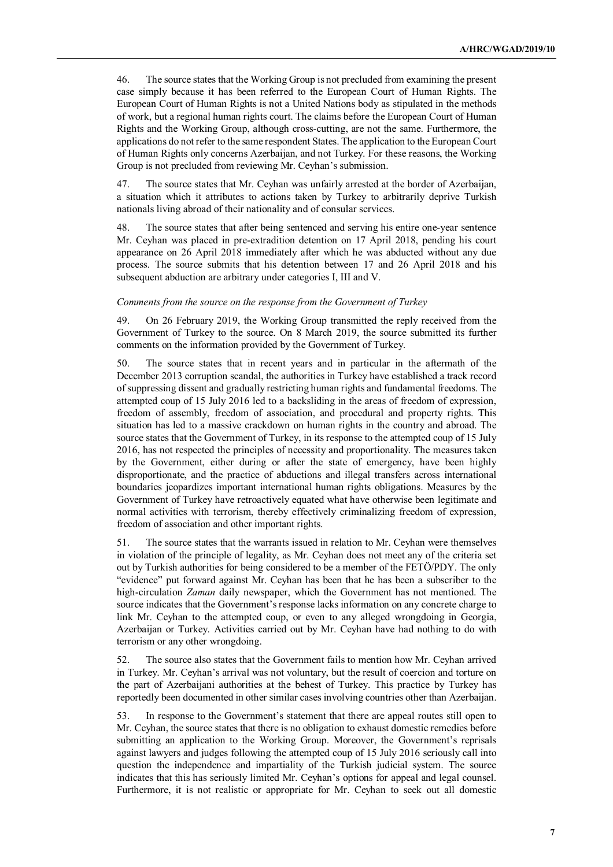46. The source states that the Working Group is not precluded from examining the present case simply because it has been referred to the European Court of Human Rights. The European Court of Human Rights is not a United Nations body as stipulated in the methods of work, but a regional human rights court. The claims before the European Court of Human Rights and the Working Group, although cross-cutting, are not the same. Furthermore, the applications do not refer to the same respondent States. The application to the European Court of Human Rights only concerns Azerbaijan, and not Turkey. For these reasons, the Working Group is not precluded from reviewing Mr. Ceyhan's submission.

47. The source states that Mr. Ceyhan was unfairly arrested at the border of Azerbaijan, a situation which it attributes to actions taken by Turkey to arbitrarily deprive Turkish nationals living abroad of their nationality and of consular services.

48. The source states that after being sentenced and serving his entire one-year sentence Mr. Ceyhan was placed in pre-extradition detention on 17 April 2018, pending his court appearance on 26 April 2018 immediately after which he was abducted without any due process. The source submits that his detention between 17 and 26 April 2018 and his subsequent abduction are arbitrary under categories I, III and V.

#### *Comments from the source on the response from the Government of Turkey*

49. On 26 February 2019, the Working Group transmitted the reply received from the Government of Turkey to the source. On 8 March 2019, the source submitted its further comments on the information provided by the Government of Turkey.

50. The source states that in recent years and in particular in the aftermath of the December 2013 corruption scandal, the authorities in Turkey have established a track record of suppressing dissent and gradually restricting human rights and fundamental freedoms. The attempted coup of 15 July 2016 led to a backsliding in the areas of freedom of expression, freedom of assembly, freedom of association, and procedural and property rights. This situation has led to a massive crackdown on human rights in the country and abroad. The source states that the Government of Turkey, in its response to the attempted coup of 15 July 2016, has not respected the principles of necessity and proportionality. The measures taken by the Government, either during or after the state of emergency, have been highly disproportionate, and the practice of abductions and illegal transfers across international boundaries jeopardizes important international human rights obligations. Measures by the Government of Turkey have retroactively equated what have otherwise been legitimate and normal activities with terrorism, thereby effectively criminalizing freedom of expression, freedom of association and other important rights.

51. The source states that the warrants issued in relation to Mr. Ceyhan were themselves in violation of the principle of legality, as Mr. Ceyhan does not meet any of the criteria set out by Turkish authorities for being considered to be a member of the FETÖ/PDY. The only "evidence" put forward against Mr. Ceyhan has been that he has been a subscriber to the high-circulation *Zaman* daily newspaper, which the Government has not mentioned. The source indicates that the Government's response lacks information on any concrete charge to link Mr. Ceyhan to the attempted coup, or even to any alleged wrongdoing in Georgia, Azerbaijan or Turkey. Activities carried out by Mr. Ceyhan have had nothing to do with terrorism or any other wrongdoing.

52. The source also states that the Government fails to mention how Mr. Ceyhan arrived in Turkey. Mr. Ceyhan's arrival was not voluntary, but the result of coercion and torture on the part of Azerbaijani authorities at the behest of Turkey. This practice by Turkey has reportedly been documented in other similar cases involving countries other than Azerbaijan.

53. In response to the Government's statement that there are appeal routes still open to Mr. Ceyhan, the source states that there is no obligation to exhaust domestic remedies before submitting an application to the Working Group. Moreover, the Government's reprisals against lawyers and judges following the attempted coup of 15 July 2016 seriously call into question the independence and impartiality of the Turkish judicial system. The source indicates that this has seriously limited Mr. Ceyhan's options for appeal and legal counsel. Furthermore, it is not realistic or appropriate for Mr. Ceyhan to seek out all domestic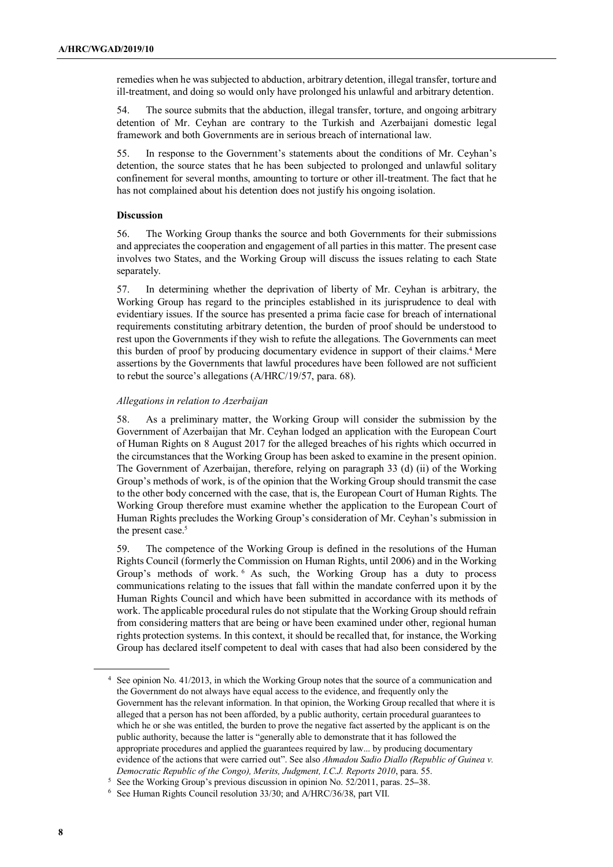remedies when he was subjected to abduction, arbitrary detention, illegal transfer, torture and ill-treatment, and doing so would only have prolonged his unlawful and arbitrary detention.

54. The source submits that the abduction, illegal transfer, torture, and ongoing arbitrary detention of Mr. Ceyhan are contrary to the Turkish and Azerbaijani domestic legal framework and both Governments are in serious breach of international law.

55. In response to the Government's statements about the conditions of Mr. Ceyhan's detention, the source states that he has been subjected to prolonged and unlawful solitary confinement for several months, amounting to torture or other ill-treatment. The fact that he has not complained about his detention does not justify his ongoing isolation.

# **Discussion**

56. The Working Group thanks the source and both Governments for their submissions and appreciates the cooperation and engagement of all parties in this matter. The present case involves two States, and the Working Group will discuss the issues relating to each State separately.

57. In determining whether the deprivation of liberty of Mr. Ceyhan is arbitrary, the Working Group has regard to the principles established in its jurisprudence to deal with evidentiary issues. If the source has presented a prima facie case for breach of international requirements constituting arbitrary detention, the burden of proof should be understood to rest upon the Governments if they wish to refute the allegations. The Governments can meet this burden of proof by producing documentary evidence in support of their claims.<sup>4</sup> Mere assertions by the Governments that lawful procedures have been followed are not sufficient to rebut the source's allegations (A/HRC/19/57, para. 68).

# *Allegations in relation to Azerbaijan*

58. As a preliminary matter, the Working Group will consider the submission by the Government of Azerbaijan that Mr. Ceyhan lodged an application with the European Court of Human Rights on 8 August 2017 for the alleged breaches of his rights which occurred in the circumstances that the Working Group has been asked to examine in the present opinion. The Government of Azerbaijan, therefore, relying on paragraph 33 (d) (ii) of the Working Group's methods of work, is of the opinion that the Working Group should transmit the case to the other body concerned with the case, that is, the European Court of Human Rights. The Working Group therefore must examine whether the application to the European Court of Human Rights precludes the Working Group's consideration of Mr. Ceyhan's submission in the present case.<sup>5</sup>

59. The competence of the Working Group is defined in the resolutions of the Human Rights Council (formerly the Commission on Human Rights, until 2006) and in the Working Group's methods of work. <sup>6</sup> As such, the Working Group has a duty to process communications relating to the issues that fall within the mandate conferred upon it by the Human Rights Council and which have been submitted in accordance with its methods of work. The applicable procedural rules do not stipulate that the Working Group should refrain from considering matters that are being or have been examined under other, regional human rights protection systems. In this context, it should be recalled that, for instance, the Working Group has declared itself competent to deal with cases that had also been considered by the

<sup>4</sup> See opinion No. 41/2013, in which the Working Group notes that the source of a communication and the Government do not always have equal access to the evidence, and frequently only the Government has the relevant information. In that opinion, the Working Group recalled that where it is alleged that a person has not been afforded, by a public authority, certain procedural guarantees to which he or she was entitled, the burden to prove the negative fact asserted by the applicant is on the public authority, because the latter is "generally able to demonstrate that it has followed the appropriate procedures and applied the guarantees required by law... by producing documentary evidence of the actions that were carried out". See also *Ahmadou Sadio Diallo (Republic of Guinea v. Democratic Republic of the Congo), Merits, Judgment, I.C.J. Reports 2010*, para. 55.

 $5$  See the Working Group's previous discussion in opinion No. 52/2011, paras. 25–38.

<sup>6</sup> See Human Rights Council resolution 33/30; and A/HRC/36/38, part VII.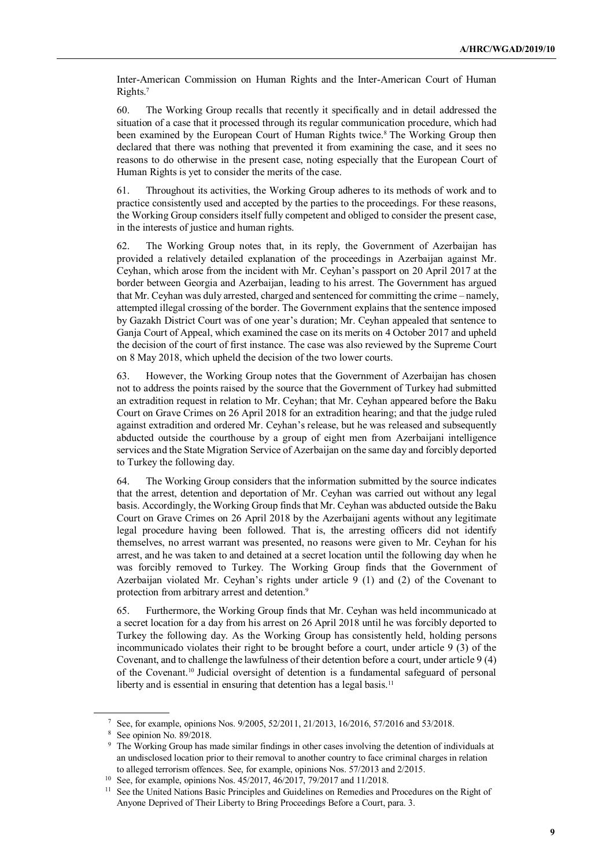Inter-American Commission on Human Rights and the Inter-American Court of Human Rights.<sup>7</sup>

60. The Working Group recalls that recently it specifically and in detail addressed the situation of a case that it processed through its regular communication procedure, which had been examined by the European Court of Human Rights twice.<sup>8</sup> The Working Group then declared that there was nothing that prevented it from examining the case, and it sees no reasons to do otherwise in the present case, noting especially that the European Court of Human Rights is yet to consider the merits of the case.

61. Throughout its activities, the Working Group adheres to its methods of work and to practice consistently used and accepted by the parties to the proceedings. For these reasons, the Working Group considers itself fully competent and obliged to consider the present case, in the interests of justice and human rights.

62. The Working Group notes that, in its reply, the Government of Azerbaijan has provided a relatively detailed explanation of the proceedings in Azerbaijan against Mr. Ceyhan, which arose from the incident with Mr. Ceyhan's passport on 20 April 2017 at the border between Georgia and Azerbaijan, leading to his arrest. The Government has argued that Mr. Ceyhan was duly arrested, charged and sentenced for committing the crime – namely, attempted illegal crossing of the border. The Government explains that the sentence imposed by Gazakh District Court was of one year's duration; Mr. Ceyhan appealed that sentence to Ganja Court of Appeal, which examined the case on its merits on 4 October 2017 and upheld the decision of the court of first instance. The case was also reviewed by the Supreme Court on 8 May 2018, which upheld the decision of the two lower courts.

63. However, the Working Group notes that the Government of Azerbaijan has chosen not to address the points raised by the source that the Government of Turkey had submitted an extradition request in relation to Mr. Ceyhan; that Mr. Ceyhan appeared before the Baku Court on Grave Crimes on 26 April 2018 for an extradition hearing; and that the judge ruled against extradition and ordered Mr. Ceyhan's release, but he was released and subsequently abducted outside the courthouse by a group of eight men from Azerbaijani intelligence services and the State Migration Service of Azerbaijan on the same day and forcibly deported to Turkey the following day.

64. The Working Group considers that the information submitted by the source indicates that the arrest, detention and deportation of Mr. Ceyhan was carried out without any legal basis. Accordingly, the Working Group finds that Mr. Ceyhan was abducted outside the Baku Court on Grave Crimes on 26 April 2018 by the Azerbaijani agents without any legitimate legal procedure having been followed. That is, the arresting officers did not identify themselves, no arrest warrant was presented, no reasons were given to Mr. Ceyhan for his arrest, and he was taken to and detained at a secret location until the following day when he was forcibly removed to Turkey. The Working Group finds that the Government of Azerbaijan violated Mr. Ceyhan's rights under article 9 (1) and (2) of the Covenant to protection from arbitrary arrest and detention.<sup>9</sup>

65. Furthermore, the Working Group finds that Mr. Ceyhan was held incommunicado at a secret location for a day from his arrest on 26 April 2018 until he was forcibly deported to Turkey the following day. As the Working Group has consistently held, holding persons incommunicado violates their right to be brought before a court, under article 9 (3) of the Covenant, and to challenge the lawfulness of their detention before a court, under article 9 (4) of the Covenant.<sup>10</sup> Judicial oversight of detention is a fundamental safeguard of personal liberty and is essential in ensuring that detention has a legal basis.<sup>11</sup>

<sup>7</sup> See, for example, opinions Nos. 9/2005, 52/2011, 21/2013, 16/2016, 57/2016 and 53/2018.

<sup>8</sup> See opinion No. 89/2018.

<sup>9</sup> The Working Group has made similar findings in other cases involving the detention of individuals at an undisclosed location prior to their removal to another country to face criminal charges in relation to alleged terrorism offences. See, for example, opinions Nos. 57/2013 and 2/2015.

<sup>10</sup> See, for example, opinions Nos. 45/2017, 46/2017, 79/2017 and 11/2018.

<sup>&</sup>lt;sup>11</sup> See the United Nations Basic Principles and Guidelines on Remedies and Procedures on the Right of Anyone Deprived of Their Liberty to Bring Proceedings Before a Court, para. 3.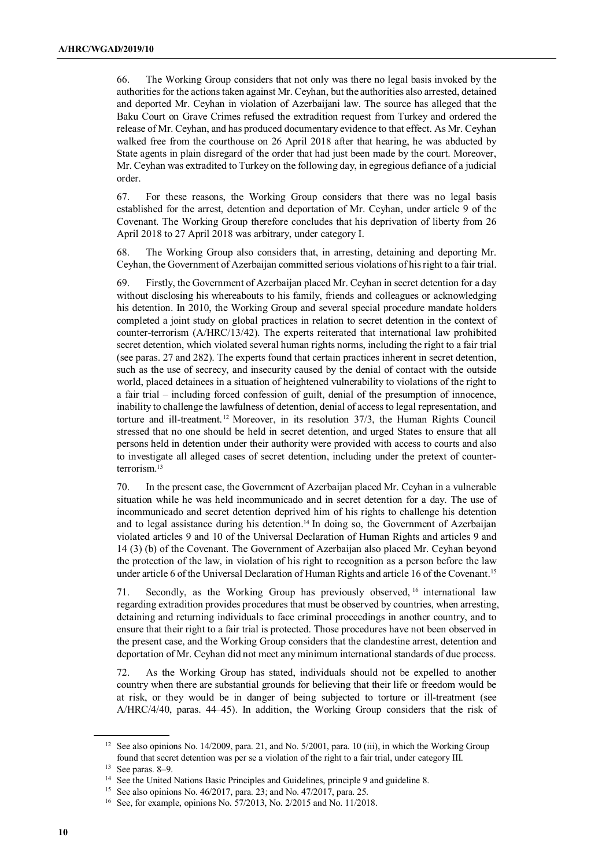66. The Working Group considers that not only was there no legal basis invoked by the authorities for the actions taken against Mr. Ceyhan, but the authorities also arrested, detained and deported Mr. Ceyhan in violation of Azerbaijani law. The source has alleged that the Baku Court on Grave Crimes refused the extradition request from Turkey and ordered the release of Mr. Ceyhan, and has produced documentary evidence to that effect. As Mr. Ceyhan walked free from the courthouse on 26 April 2018 after that hearing, he was abducted by State agents in plain disregard of the order that had just been made by the court. Moreover, Mr. Ceyhan was extradited to Turkey on the following day, in egregious defiance of a judicial order.

67. For these reasons, the Working Group considers that there was no legal basis established for the arrest, detention and deportation of Mr. Ceyhan, under article 9 of the Covenant. The Working Group therefore concludes that his deprivation of liberty from 26 April 2018 to 27 April 2018 was arbitrary, under category I.

68. The Working Group also considers that, in arresting, detaining and deporting Mr. Ceyhan, the Government of Azerbaijan committed serious violations of his right to a fair trial.

69. Firstly, the Government of Azerbaijan placed Mr. Ceyhan in secret detention for a day without disclosing his whereabouts to his family, friends and colleagues or acknowledging his detention. In 2010, the Working Group and several special procedure mandate holders completed a joint study on global practices in relation to secret detention in the context of counter-terrorism (A/HRC/13/42). The experts reiterated that international law prohibited secret detention, which violated several human rights norms, including the right to a fair trial (see paras. 27 and 282). The experts found that certain practices inherent in secret detention, such as the use of secrecy, and insecurity caused by the denial of contact with the outside world, placed detainees in a situation of heightened vulnerability to violations of the right to a fair trial – including forced confession of guilt, denial of the presumption of innocence, inability to challenge the lawfulness of detention, denial of access to legal representation, and torture and ill-treatment.<sup>12</sup> Moreover, in its resolution  $37/3$ , the Human Rights Council stressed that no one should be held in secret detention, and urged States to ensure that all persons held in detention under their authority were provided with access to courts and also to investigate all alleged cases of secret detention, including under the pretext of counterterrorism.<sup>13</sup>

70. In the present case, the Government of Azerbaijan placed Mr. Ceyhan in a vulnerable situation while he was held incommunicado and in secret detention for a day. The use of incommunicado and secret detention deprived him of his rights to challenge his detention and to legal assistance during his detention.<sup>14</sup> In doing so, the Government of Azerbaijan violated articles 9 and 10 of the Universal Declaration of Human Rights and articles 9 and 14 (3) (b) of the Covenant. The Government of Azerbaijan also placed Mr. Ceyhan beyond the protection of the law, in violation of his right to recognition as a person before the law under article 6 of the Universal Declaration of Human Rights and article 16 of the Covenant.<sup>15</sup>

71. Secondly, as the Working Group has previously observed, <sup>16</sup> international law regarding extradition provides procedures that must be observed by countries, when arresting, detaining and returning individuals to face criminal proceedings in another country, and to ensure that their right to a fair trial is protected. Those procedures have not been observed in the present case, and the Working Group considers that the clandestine arrest, detention and deportation of Mr. Ceyhan did not meet any minimum international standards of due process.

72. As the Working Group has stated, individuals should not be expelled to another country when there are substantial grounds for believing that their life or freedom would be at risk, or they would be in danger of being subjected to torture or ill-treatment (see A/HRC/4/40, paras. 44–45). In addition, the Working Group considers that the risk of

<sup>&</sup>lt;sup>12</sup> See also opinions No. 14/2009, para. 21, and No.  $5/2001$ , para. 10 (iii), in which the Working Group found that secret detention was per se a violation of the right to a fair trial, under category III.

 $13$  See paras. 8–9.

<sup>&</sup>lt;sup>14</sup> See the United Nations Basic Principles and Guidelines, principle 9 and guideline 8.

<sup>15</sup> See also opinions No. 46/2017, para. 23; and No. 47/2017, para. 25.

<sup>16</sup> See, for example, opinions No. 57/2013, No. 2/2015 and No. 11/2018.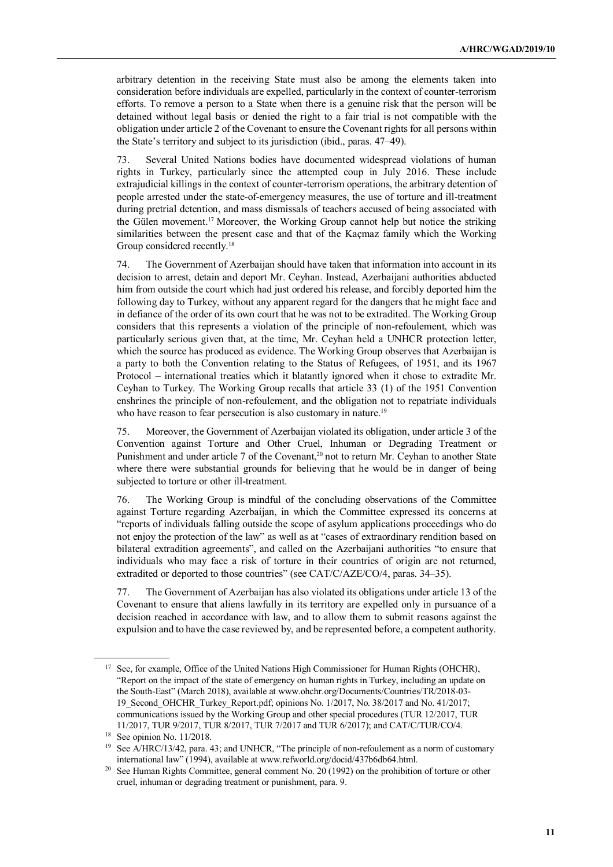arbitrary detention in the receiving State must also be among the elements taken into consideration before individuals are expelled, particularly in the context of counter-terrorism efforts. To remove a person to a State when there is a genuine risk that the person will be detained without legal basis or denied the right to a fair trial is not compatible with the obligation under article 2 of the Covenant to ensure the Covenant rights for all persons within the State's territory and subject to its jurisdiction (ibid., paras. 47–49).

73. Several United Nations bodies have documented widespread violations of human rights in Turkey, particularly since the attempted coup in July 2016. These include extrajudicial killings in the context of counter-terrorism operations, the arbitrary detention of people arrested under the state-of-emergency measures, the use of torture and ill-treatment during pretrial detention, and mass dismissals of teachers accused of being associated with the Gülen movement.<sup>17</sup> Moreover, the Working Group cannot help but notice the striking similarities between the present case and that of the Kaçmaz family which the Working Group considered recently.<sup>18</sup>

74. The Government of Azerbaijan should have taken that information into account in its decision to arrest, detain and deport Mr. Ceyhan. Instead, Azerbaijani authorities abducted him from outside the court which had just ordered his release, and forcibly deported him the following day to Turkey, without any apparent regard for the dangers that he might face and in defiance of the order of its own court that he was not to be extradited. The Working Group considers that this represents a violation of the principle of non-refoulement, which was particularly serious given that, at the time, Mr. Ceyhan held a UNHCR protection letter, which the source has produced as evidence. The Working Group observes that Azerbaijan is a party to both the Convention relating to the Status of Refugees, of 1951, and its 1967 Protocol – international treaties which it blatantly ignored when it chose to extradite Mr. Ceyhan to Turkey. The Working Group recalls that article 33 (1) of the 1951 Convention enshrines the principle of non-refoulement, and the obligation not to repatriate individuals who have reason to fear persecution is also customary in nature.<sup>19</sup>

75. Moreover, the Government of Azerbaijan violated its obligation, under article 3 of the Convention against Torture and Other Cruel, Inhuman or Degrading Treatment or Punishment and under article 7 of the Covenant,<sup>20</sup> not to return Mr. Ceyhan to another State where there were substantial grounds for believing that he would be in danger of being subjected to torture or other ill-treatment.

76. The Working Group is mindful of the concluding observations of the Committee against Torture regarding Azerbaijan, in which the Committee expressed its concerns at "reports of individuals falling outside the scope of asylum applications proceedings who do not enjoy the protection of the law" as well as at "cases of extraordinary rendition based on bilateral extradition agreements", and called on the Azerbaijani authorities "to ensure that individuals who may face a risk of torture in their countries of origin are not returned, extradited or deported to those countries" (see CAT/C/AZE/CO/4, paras. 34–35).

77. The Government of Azerbaijan has also violated its obligations under article 13 of the Covenant to ensure that aliens lawfully in its territory are expelled only in pursuance of a decision reached in accordance with law, and to allow them to submit reasons against the expulsion and to have the case reviewed by, and be represented before, a competent authority.

<sup>&</sup>lt;sup>17</sup> See, for example, Office of the United Nations High Commissioner for Human Rights (OHCHR), "Report on the impact of the state of emergency on human rights in Turkey, including an update on the South-East" (March 2018), available at www.ohchr.org/Documents/Countries/TR/2018-03- 19\_Second\_OHCHR\_Turkey\_Report.pdf; opinions No. 1/2017, No. 38/2017 and No. 41/2017; communications issued by the Working Group and other special procedures (TUR 12/2017, TUR 11/2017, TUR 9/2017, TUR 8/2017, TUR 7/2017 and TUR 6/2017); and CAT/C/TUR/CO/4.

<sup>18</sup> See opinion No. 11/2018.

<sup>&</sup>lt;sup>19</sup> See A/HRC/13/42, para. 43; and UNHCR, "The principle of non-refoulement as a norm of customary international law" (1994), available at www.refworld.org/docid/437b6db64.html.

See Human Rights Committee, general comment No. 20 (1992) on the prohibition of torture or other cruel, inhuman or degrading treatment or punishment, para. 9.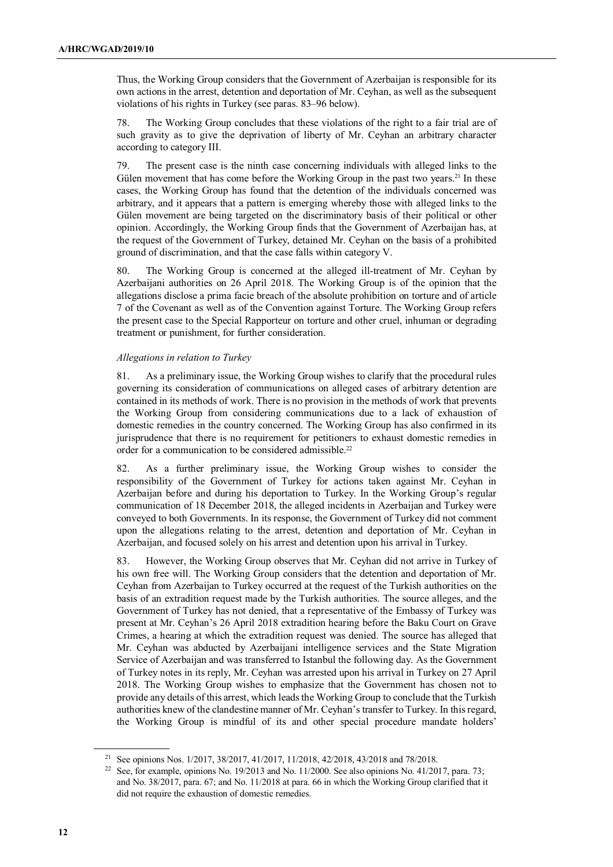Thus, the Working Group considers that the Government of Azerbaijan is responsible for its own actions in the arrest, detention and deportation of Mr. Ceyhan, as well as the subsequent violations of his rights in Turkey (see paras. 83–96 below).

78. The Working Group concludes that these violations of the right to a fair trial are of such gravity as to give the deprivation of liberty of Mr. Ceyhan an arbitrary character according to category III.

79. The present case is the ninth case concerning individuals with alleged links to the Gülen movement that has come before the Working Group in the past two years.<sup>21</sup> In these cases, the Working Group has found that the detention of the individuals concerned was arbitrary, and it appears that a pattern is emerging whereby those with alleged links to the Gülen movement are being targeted on the discriminatory basis of their political or other opinion. Accordingly, the Working Group finds that the Government of Azerbaijan has, at the request of the Government of Turkey, detained Mr. Ceyhan on the basis of a prohibited ground of discrimination, and that the case falls within category V.

80. The Working Group is concerned at the alleged ill-treatment of Mr. Ceyhan by Azerbaijani authorities on 26 April 2018. The Working Group is of the opinion that the allegations disclose a prima facie breach of the absolute prohibition on torture and of article 7 of the Covenant as well as of the Convention against Torture. The Working Group refers the present case to the Special Rapporteur on torture and other cruel, inhuman or degrading treatment or punishment, for further consideration.

# *Allegations in relation to Turkey*

81. As a preliminary issue, the Working Group wishes to clarify that the procedural rules governing its consideration of communications on alleged cases of arbitrary detention are contained in its methods of work. There is no provision in the methods of work that prevents the Working Group from considering communications due to a lack of exhaustion of domestic remedies in the country concerned. The Working Group has also confirmed in its jurisprudence that there is no requirement for petitioners to exhaust domestic remedies in order for a communication to be considered admissible.<sup>22</sup>

82. As a further preliminary issue, the Working Group wishes to consider the responsibility of the Government of Turkey for actions taken against Mr. Ceyhan in Azerbaijan before and during his deportation to Turkey. In the Working Group's regular communication of 18 December 2018, the alleged incidents in Azerbaijan and Turkey were conveyed to both Governments. In its response, the Government of Turkey did not comment upon the allegations relating to the arrest, detention and deportation of Mr. Ceyhan in Azerbaijan, and focused solely on his arrest and detention upon his arrival in Turkey.

83. However, the Working Group observes that Mr. Ceyhan did not arrive in Turkey of his own free will. The Working Group considers that the detention and deportation of Mr. Ceyhan from Azerbaijan to Turkey occurred at the request of the Turkish authorities on the basis of an extradition request made by the Turkish authorities. The source alleges, and the Government of Turkey has not denied, that a representative of the Embassy of Turkey was present at Mr. Ceyhan's 26 April 2018 extradition hearing before the Baku Court on Grave Crimes, a hearing at which the extradition request was denied. The source has alleged that Mr. Ceyhan was abducted by Azerbaijani intelligence services and the State Migration Service of Azerbaijan and was transferred to Istanbul the following day. As the Government of Turkey notes in its reply, Mr. Ceyhan was arrested upon his arrival in Turkey on 27 April 2018. The Working Group wishes to emphasize that the Government has chosen not to provide any details of this arrest, which leads the Working Group to conclude that the Turkish authorities knew of the clandestine manner of Mr. Ceyhan's transfer to Turkey. In this regard, the Working Group is mindful of its and other special procedure mandate holders'

<sup>21</sup> See opinions Nos. 1/2017, 38/2017, 41/2017, 11/2018, 42/2018, 43/2018 and 78/2018.

<sup>&</sup>lt;sup>22</sup> See, for example, opinions No. 19/2013 and No. 11/2000. See also opinions No. 41/2017, para. 73; and No. 38/2017, para. 67; and No. 11/2018 at para. 66 in which the Working Group clarified that it did not require the exhaustion of domestic remedies.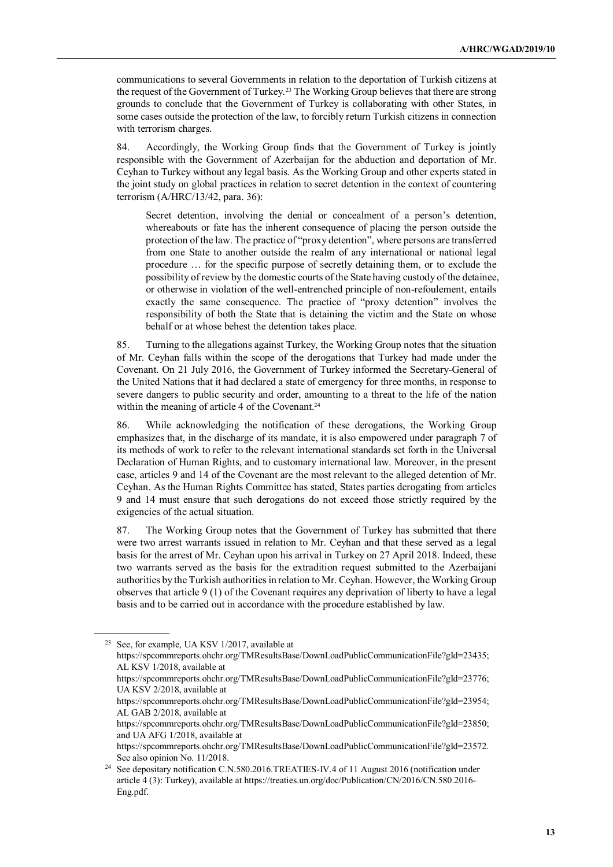communications to several Governments in relation to the deportation of Turkish citizens at the request of the Government of Turkey.<sup>23</sup> The Working Group believes that there are strong grounds to conclude that the Government of Turkey is collaborating with other States, in some cases outside the protection of the law, to forcibly return Turkish citizens in connection with terrorism charges.

84. Accordingly, the Working Group finds that the Government of Turkey is jointly responsible with the Government of Azerbaijan for the abduction and deportation of Mr. Ceyhan to Turkey without any legal basis. As the Working Group and other experts stated in the joint study on global practices in relation to secret detention in the context of countering terrorism (A/HRC/13/42, para. 36):

Secret detention, involving the denial or concealment of a person's detention, whereabouts or fate has the inherent consequence of placing the person outside the protection of the law. The practice of "proxy detention", where persons are transferred from one State to another outside the realm of any international or national legal procedure … for the specific purpose of secretly detaining them, or to exclude the possibility of review by the domestic courts of the State having custody of the detainee, or otherwise in violation of the well-entrenched principle of non-refoulement, entails exactly the same consequence. The practice of "proxy detention" involves the responsibility of both the State that is detaining the victim and the State on whose behalf or at whose behest the detention takes place.

85. Turning to the allegations against Turkey, the Working Group notes that the situation of Mr. Ceyhan falls within the scope of the derogations that Turkey had made under the Covenant. On 21 July 2016, the Government of Turkey informed the Secretary-General of the United Nations that it had declared a state of emergency for three months, in response to severe dangers to public security and order, amounting to a threat to the life of the nation within the meaning of article 4 of the Covenant.<sup>24</sup>

86. While acknowledging the notification of these derogations, the Working Group emphasizes that, in the discharge of its mandate, it is also empowered under paragraph 7 of its methods of work to refer to the relevant international standards set forth in the Universal Declaration of Human Rights, and to customary international law. Moreover, in the present case, articles 9 and 14 of the Covenant are the most relevant to the alleged detention of Mr. Ceyhan. As the Human Rights Committee has stated, States parties derogating from articles 9 and 14 must ensure that such derogations do not exceed those strictly required by the exigencies of the actual situation.

87. The Working Group notes that the Government of Turkey has submitted that there were two arrest warrants issued in relation to Mr. Ceyhan and that these served as a legal basis for the arrest of Mr. Ceyhan upon his arrival in Turkey on 27 April 2018. Indeed, these two warrants served as the basis for the extradition request submitted to the Azerbaijani authorities by the Turkish authorities in relation to Mr. Ceyhan. However, the Working Group observes that article 9 (1) of the Covenant requires any deprivation of liberty to have a legal basis and to be carried out in accordance with the procedure established by law.

<sup>23</sup> See, for example, UA KSV 1/2017, available at https://spcommreports.ohchr.org/TMResultsBase/DownLoadPublicCommunicationFile?gId=23435; AL KSV 1/2018, available at https://spcommreports.ohchr.org/TMResultsBase/DownLoadPublicCommunicationFile?gId=23776; UA KSV 2/2018, available at https://spcommreports.ohchr.org/TMResultsBase/DownLoadPublicCommunicationFile?gId=23954; AL GAB 2/2018, available at https://spcommreports.ohchr.org/TMResultsBase/DownLoadPublicCommunicationFile?gId=23850; and UA AFG 1/2018, available at https://spcommreports.ohchr.org/TMResultsBase/DownLoadPublicCommunicationFile?gId=23572. See also opinion No. 11/2018. <sup>24</sup> See depositary notification C.N.580.2016.TREATIES-IV.4 of 11 August 2016 (notification under

article 4 (3): Turkey), available at https://treaties.un.org/doc/Publication/CN/2016/CN.580.2016- Eng.pdf.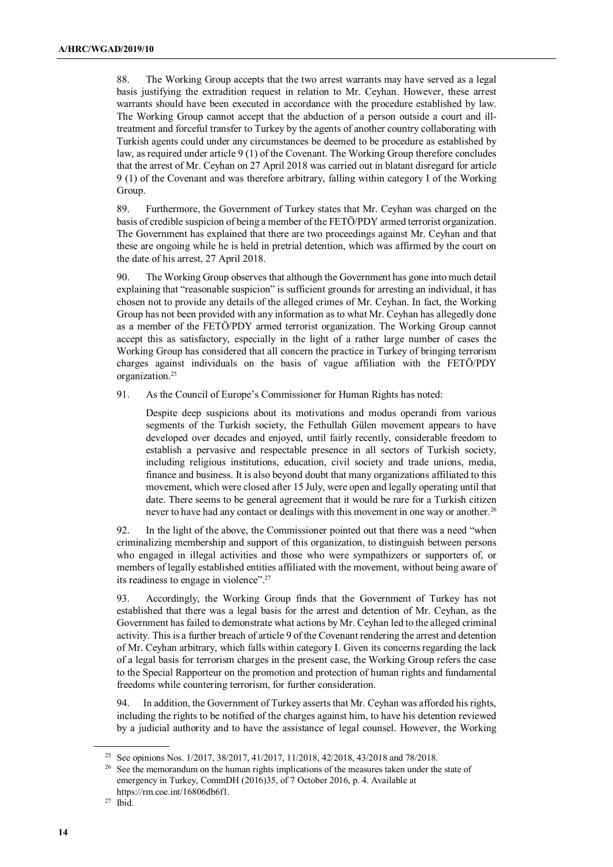88. The Working Group accepts that the two arrest warrants may have served as a legal basis justifying the extradition request in relation to Mr. Ceyhan. However, these arrest warrants should have been executed in accordance with the procedure established by law. The Working Group cannot accept that the abduction of a person outside a court and illtreatment and forceful transfer to Turkey by the agents of another country collaborating with Turkish agents could under any circumstances be deemed to be procedure as established by law, as required under article 9 (1) of the Covenant. The Working Group therefore concludes that the arrest of Mr. Ceyhan on 27 April 2018 was carried out in blatant disregard for article 9 (1) of the Covenant and was therefore arbitrary, falling within category I of the Working Group.

89. Furthermore, the Government of Turkey states that Mr. Ceyhan was charged on the basis of credible suspicion of being a member of the FETÖ/PDY armed terrorist organization. The Government has explained that there are two proceedings against Mr. Ceyhan and that these are ongoing while he is held in pretrial detention, which was affirmed by the court on the date of his arrest, 27 April 2018.

90. The Working Group observes that although the Government has gone into much detail explaining that "reasonable suspicion" is sufficient grounds for arresting an individual, it has chosen not to provide any details of the alleged crimes of Mr. Ceyhan. In fact, the Working Group has not been provided with any information as to what Mr. Ceyhan has allegedly done as a member of the FETÖ/PDY armed terrorist organization. The Working Group cannot accept this as satisfactory, especially in the light of a rather large number of cases the Working Group has considered that all concern the practice in Turkey of bringing terrorism charges against individuals on the basis of vague affiliation with the FETÖ/PDY organization.<sup>25</sup>

91. As the Council of Europe's Commissioner for Human Rights has noted:

Despite deep suspicions about its motivations and modus operandi from various segments of the Turkish society, the Fethullah Gülen movement appears to have developed over decades and enjoyed, until fairly recently, considerable freedom to establish a pervasive and respectable presence in all sectors of Turkish society, including religious institutions, education, civil society and trade unions, media, finance and business. It is also beyond doubt that many organizations affiliated to this movement, which were closed after 15 July, were open and legally operating until that date. There seems to be general agreement that it would be rare for a Turkish citizen never to have had any contact or dealings with this movement in one way or another.<sup>26</sup>

92. In the light of the above, the Commissioner pointed out that there was a need "when criminalizing membership and support of this organization, to distinguish between persons who engaged in illegal activities and those who were sympathizers or supporters of, or members of legally established entities affiliated with the movement, without being aware of its readiness to engage in violence".<sup>27</sup>

93. Accordingly, the Working Group finds that the Government of Turkey has not established that there was a legal basis for the arrest and detention of Mr. Ceyhan, as the Government has failed to demonstrate what actions by Mr. Ceyhan led to the alleged criminal activity. This is a further breach of article 9 of the Covenant rendering the arrest and detention of Mr. Ceyhan arbitrary, which falls within category I. Given its concerns regarding the lack of a legal basis for terrorism charges in the present case, the Working Group refers the case to the Special Rapporteur on the promotion and protection of human rights and fundamental freedoms while countering terrorism, for further consideration.

94. In addition, the Government of Turkey asserts that Mr. Ceyhan was afforded his rights, including the rights to be notified of the charges against him, to have his detention reviewed by a judicial authority and to have the assistance of legal counsel. However, the Working

<sup>25</sup> See opinions Nos. 1/2017, 38/2017, 41/2017, 11/2018, 42/2018, 43/2018 and 78/2018.

<sup>&</sup>lt;sup>26</sup> See the memorandum on the human rights implications of the measures taken under the state of emergency in Turkey, CommDH (2016)35, of 7 October 2016, p. 4. Available at https://rm.coe.int/16806db6f1.

<sup>27</sup> Ibid.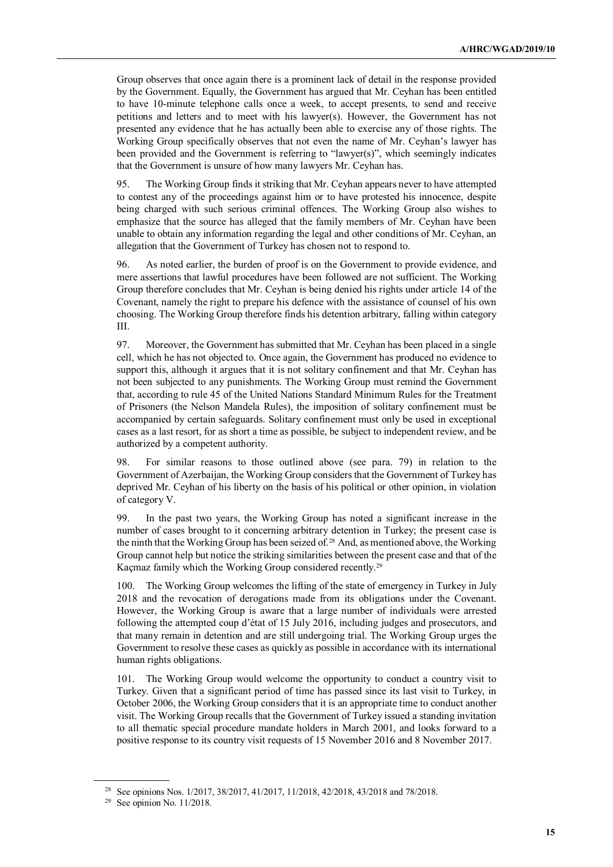Group observes that once again there is a prominent lack of detail in the response provided by the Government. Equally, the Government has argued that Mr. Ceyhan has been entitled to have 10-minute telephone calls once a week, to accept presents, to send and receive petitions and letters and to meet with his lawyer(s). However, the Government has not presented any evidence that he has actually been able to exercise any of those rights. The Working Group specifically observes that not even the name of Mr. Ceyhan's lawyer has been provided and the Government is referring to "lawyer(s)", which seemingly indicates that the Government is unsure of how many lawyers Mr. Ceyhan has.

95. The Working Group finds it striking that Mr. Ceyhan appears never to have attempted to contest any of the proceedings against him or to have protested his innocence, despite being charged with such serious criminal offences. The Working Group also wishes to emphasize that the source has alleged that the family members of Mr. Ceyhan have been unable to obtain any information regarding the legal and other conditions of Mr. Ceyhan, an allegation that the Government of Turkey has chosen not to respond to.

96. As noted earlier, the burden of proof is on the Government to provide evidence, and mere assertions that lawful procedures have been followed are not sufficient. The Working Group therefore concludes that Mr. Ceyhan is being denied his rights under article 14 of the Covenant, namely the right to prepare his defence with the assistance of counsel of his own choosing. The Working Group therefore finds his detention arbitrary, falling within category III.

97. Moreover, the Government has submitted that Mr. Ceyhan has been placed in a single cell, which he has not objected to. Once again, the Government has produced no evidence to support this, although it argues that it is not solitary confinement and that Mr. Ceyhan has not been subjected to any punishments. The Working Group must remind the Government that, according to rule 45 of the United Nations Standard Minimum Rules for the Treatment of Prisoners (the Nelson Mandela Rules), the imposition of solitary confinement must be accompanied by certain safeguards. Solitary confinement must only be used in exceptional cases as a last resort, for as short a time as possible, be subject to independent review, and be authorized by a competent authority.

98. For similar reasons to those outlined above (see para. 79) in relation to the Government of Azerbaijan, the Working Group considers that the Government of Turkey has deprived Mr. Ceyhan of his liberty on the basis of his political or other opinion, in violation of category V.

99. In the past two years, the Working Group has noted a significant increase in the number of cases brought to it concerning arbitrary detention in Turkey; the present case is the ninth that the Working Group has been seized of.<sup>28</sup> And, as mentioned above, the Working Group cannot help but notice the striking similarities between the present case and that of the Kaçmaz family which the Working Group considered recently.<sup>29</sup>

100. The Working Group welcomes the lifting of the state of emergency in Turkey in July 2018 and the revocation of derogations made from its obligations under the Covenant. However, the Working Group is aware that a large number of individuals were arrested following the attempted coup d'état of 15 July 2016, including judges and prosecutors, and that many remain in detention and are still undergoing trial. The Working Group urges the Government to resolve these cases as quickly as possible in accordance with its international human rights obligations.

101. The Working Group would welcome the opportunity to conduct a country visit to Turkey. Given that a significant period of time has passed since its last visit to Turkey, in October 2006, the Working Group considers that it is an appropriate time to conduct another visit. The Working Group recalls that the Government of Turkey issued a standing invitation to all thematic special procedure mandate holders in March 2001, and looks forward to a positive response to its country visit requests of 15 November 2016 and 8 November 2017.

<sup>28</sup> See opinions Nos. 1/2017, 38/2017, 41/2017, 11/2018, 42/2018, 43/2018 and 78/2018.

<sup>29</sup> See opinion No. 11/2018.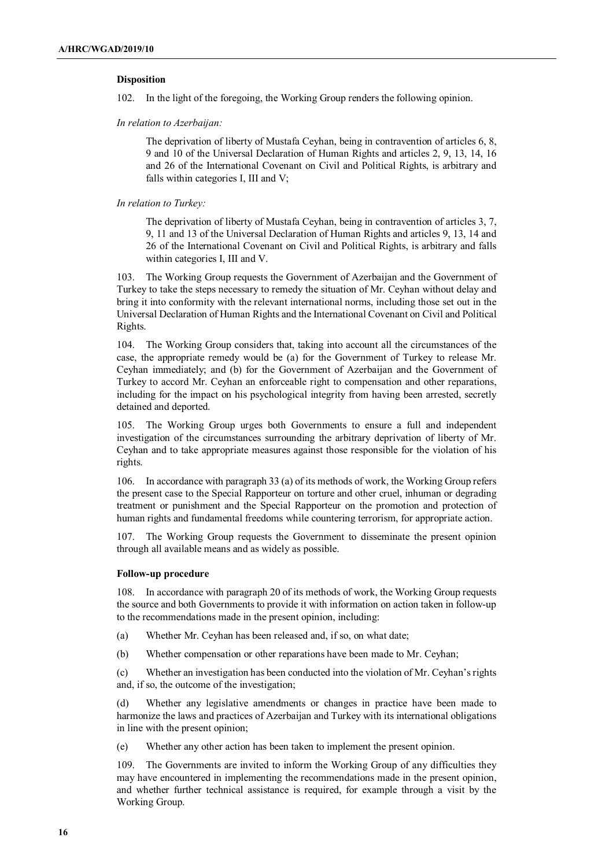## **Disposition**

102. In the light of the foregoing, the Working Group renders the following opinion.

 *In relation to Azerbaijan:* 

The deprivation of liberty of Mustafa Ceyhan, being in contravention of articles 6, 8, 9 and 10 of the Universal Declaration of Human Rights and articles 2, 9, 13, 14, 16 and 26 of the International Covenant on Civil and Political Rights, is arbitrary and falls within categories I, III and V;

 *In relation to Turkey:* 

The deprivation of liberty of Mustafa Ceyhan, being in contravention of articles 3, 7, 9, 11 and 13 of the Universal Declaration of Human Rights and articles 9, 13, 14 and 26 of the International Covenant on Civil and Political Rights, is arbitrary and falls within categories I, III and V.

103. The Working Group requests the Government of Azerbaijan and the Government of Turkey to take the steps necessary to remedy the situation of Mr. Ceyhan without delay and bring it into conformity with the relevant international norms, including those set out in the Universal Declaration of Human Rights and the International Covenant on Civil and Political Rights.

104. The Working Group considers that, taking into account all the circumstances of the case, the appropriate remedy would be (a) for the Government of Turkey to release Mr. Ceyhan immediately; and (b) for the Government of Azerbaijan and the Government of Turkey to accord Mr. Ceyhan an enforceable right to compensation and other reparations, including for the impact on his psychological integrity from having been arrested, secretly detained and deported.

105. The Working Group urges both Governments to ensure a full and independent investigation of the circumstances surrounding the arbitrary deprivation of liberty of Mr. Ceyhan and to take appropriate measures against those responsible for the violation of his rights.

106. In accordance with paragraph 33 (a) of its methods of work, the Working Group refers the present case to the Special Rapporteur on torture and other cruel, inhuman or degrading treatment or punishment and the Special Rapporteur on the promotion and protection of human rights and fundamental freedoms while countering terrorism, for appropriate action.

107. The Working Group requests the Government to disseminate the present opinion through all available means and as widely as possible.

#### **Follow-up procedure**

108. In accordance with paragraph 20 of its methods of work, the Working Group requests the source and both Governments to provide it with information on action taken in follow-up to the recommendations made in the present opinion, including:

- (a) Whether Mr. Ceyhan has been released and, if so, on what date;
- (b) Whether compensation or other reparations have been made to Mr. Ceyhan;

(c) Whether an investigation has been conducted into the violation of Mr. Ceyhan's rights and, if so, the outcome of the investigation;

(d) Whether any legislative amendments or changes in practice have been made to harmonize the laws and practices of Azerbaijan and Turkey with its international obligations in line with the present opinion;

(e) Whether any other action has been taken to implement the present opinion.

109. The Governments are invited to inform the Working Group of any difficulties they may have encountered in implementing the recommendations made in the present opinion, and whether further technical assistance is required, for example through a visit by the Working Group.